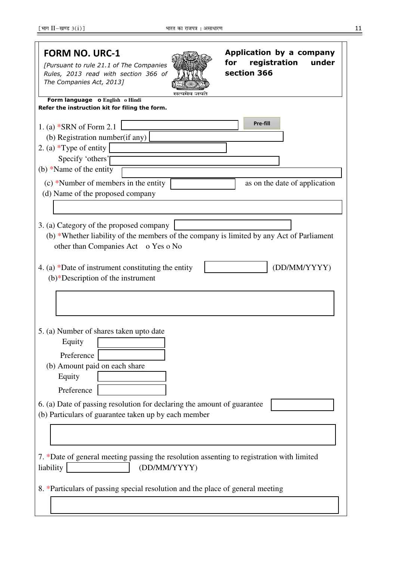| <b>FORM NO. URC-1</b><br>[Pursuant to rule 21.1 of The Companies<br>Rules, 2013 read with section 366 of<br>The Companies Act, 2013]                                                                                                                                     | Application by a company<br>registration<br>under<br>for<br>section 366 |
|--------------------------------------------------------------------------------------------------------------------------------------------------------------------------------------------------------------------------------------------------------------------------|-------------------------------------------------------------------------|
| Form language o English o Hindi                                                                                                                                                                                                                                          |                                                                         |
| Refer the instruction kit for filing the form.<br>1. (a) *SRN of Form 2.1<br>(b) Registration number (if any)<br>2. (a) *Type of entity<br>Specify 'others'<br>(b) *Name of the entity<br>(c) *Number of members in the entity<br>(d) Name of the proposed company       | Pre-fill<br>as on the date of application                               |
| 3. (a) Category of the proposed company<br>(b) *Whether liability of the members of the company is limited by any Act of Parliament<br>other than Companies Act o Yes o No<br>4. (a) *Date of instrument constituting the entity<br>$(b)*$ Description of the instrument | (DD/MM/YYYY)                                                            |
| 5. (a) Number of shares taken upto date<br>Equity<br>Preference<br>(b) Amount paid on each share<br>Equity<br>Preference<br>6. (a) Date of passing resolution for declaring the amount of guarantee<br>(b) Particulars of guarantee taken up by each member              |                                                                         |
| 7. *Date of general meeting passing the resolution assenting to registration with limited<br>liability<br>(DD/MM/YYYY)                                                                                                                                                   |                                                                         |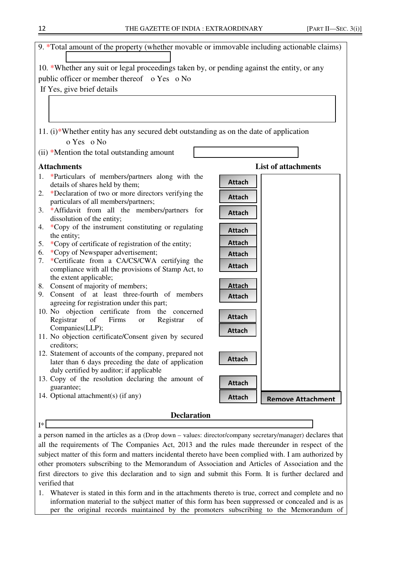

a person named in the articles as a (Drop down – values: director/company secretary/manager) declares that all the requirements of The Companies Act, 2013 and the rules made thereunder in respect of the subject matter of this form and matters incidental thereto have been complied with. I am authorized by other promoters subscribing to the Memorandum of Association and Articles of Association and the first directors to give this declaration and to sign and submit this Form. It is further declared and verified that

1. Whatever is stated in this form and in the attachments thereto is true, correct and complete and no information material to the subject matter of this form has been suppressed or concealed and is as per the original records maintained by the promoters subscribing to the Memorandum of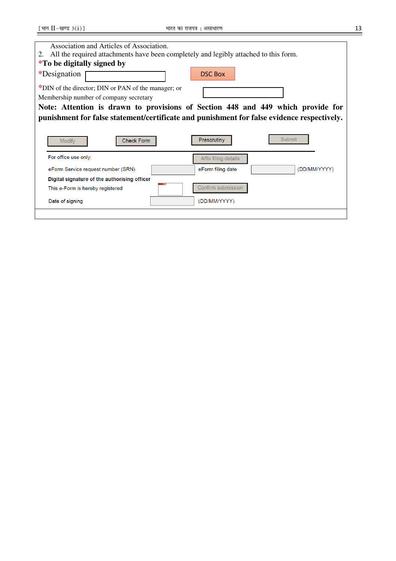| Association and Articles of Association.                                                   |                                   |  |
|--------------------------------------------------------------------------------------------|-----------------------------------|--|
| All the required attachments have been completely and legibly attached to this form.<br>2. |                                   |  |
| <i>*To be digitally signed by</i>                                                          |                                   |  |
| *Designation                                                                               | <b>DSC Box</b>                    |  |
| *DIN of the director; DIN or PAN of the manager; or                                        |                                   |  |
| Membership number of company secretary                                                     |                                   |  |
| Note: Attention is drawn to provisions of Section 448 and 449 which provide for            |                                   |  |
| punishment for false statement/certificate and punishment for false evidence respectively. |                                   |  |
|                                                                                            |                                   |  |
| <b>Check Form</b><br><b>Modify</b>                                                         | Submit<br>Prescrutiny             |  |
| For office use only:                                                                       | Affix filing details              |  |
| eForm Service request number (SRN)                                                         | (DD/MM/YYYY)<br>eForm filing date |  |
| Digital signature of the authorising officer                                               |                                   |  |
| This e-Form is hereby registered                                                           | Confirm submission                |  |
| Date of signing                                                                            | (DD/MM/YYYY)                      |  |
|                                                                                            |                                   |  |